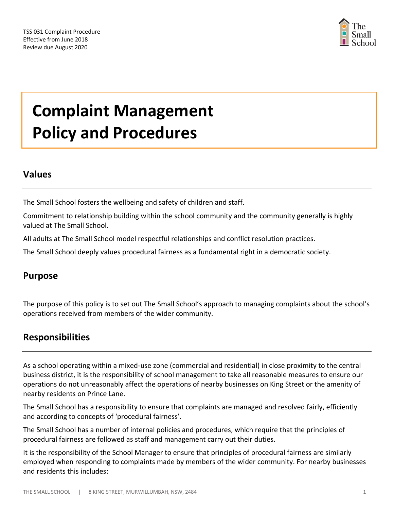

# **Complaint Management Policy and Procedures**

## **Values**

The Small School fosters the wellbeing and safety of children and staff.

Commitment to relationship building within the school community and the community generally is highly valued at The Small School.

All adults at The Small School model respectful relationships and conflict resolution practices.

The Small School deeply values procedural fairness as a fundamental right in a democratic society.

## **Purpose**

The purpose of this policy is to set out The Small School's approach to managing complaints about the school's operations received from members of the wider community.

## **Responsibilities**

As a school operating within a mixed-use zone (commercial and residential) in close proximity to the central business district, it is the responsibility of school management to take all reasonable measures to ensure our operations do not unreasonably affect the operations of nearby businesses on King Street or the amenity of nearby residents on Prince Lane.

The Small School has a responsibility to ensure that complaints are managed and resolved fairly, efficiently and according to concepts of 'procedural fairness'.

The Small School has a number of internal policies and procedures, which require that the principles of procedural fairness are followed as staff and management carry out their duties.

It is the responsibility of the School Manager to ensure that principles of procedural fairness are similarly employed when responding to complaints made by members of the wider community. For nearby businesses and residents this includes: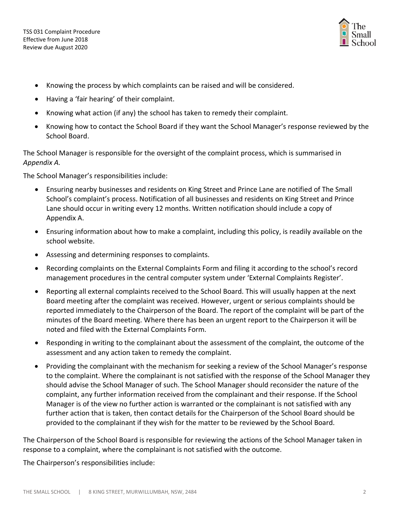

- Knowing the process by which complaints can be raised and will be considered.
- Having a 'fair hearing' of their complaint.
- Knowing what action (if any) the school has taken to remedy their complaint.
- Knowing how to contact the School Board if they want the School Manager's response reviewed by the School Board.

The School Manager is responsible for the oversight of the complaint process, which is summarised in *Appendix A.*

The School Manager's responsibilities include:

- Ensuring nearby businesses and residents on King Street and Prince Lane are notified of The Small School's complaint's process. Notification of all businesses and residents on King Street and Prince Lane should occur in writing every 12 months. Written notification should include a copy of Appendix A.
- Ensuring information about how to make a complaint, including this policy, is readily available on the school website.
- Assessing and determining responses to complaints.
- Recording complaints on the External Complaints Form and filing it according to the school's record management procedures in the central computer system under 'External Complaints Register'.
- Reporting all external complaints received to the School Board. This will usually happen at the next Board meeting after the complaint was received. However, urgent or serious complaints should be reported immediately to the Chairperson of the Board. The report of the complaint will be part of the minutes of the Board meeting. Where there has been an urgent report to the Chairperson it will be noted and filed with the External Complaints Form.
- Responding in writing to the complainant about the assessment of the complaint, the outcome of the assessment and any action taken to remedy the complaint.
- Providing the complainant with the mechanism for seeking a review of the School Manager's response to the complaint. Where the complainant is not satisfied with the response of the School Manager they should advise the School Manager of such. The School Manager should reconsider the nature of the complaint, any further information received from the complainant and their response. If the School Manager is of the view no further action is warranted or the complainant is not satisfied with any further action that is taken, then contact details for the Chairperson of the School Board should be provided to the complainant if they wish for the matter to be reviewed by the School Board.

The Chairperson of the School Board is responsible for reviewing the actions of the School Manager taken in response to a complaint, where the complainant is not satisfied with the outcome.

The Chairperson's responsibilities include: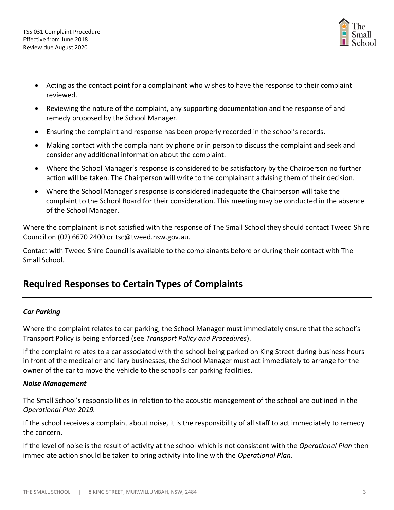

- Acting as the contact point for a complainant who wishes to have the response to their complaint reviewed.
- Reviewing the nature of the complaint, any supporting documentation and the response of and remedy proposed by the School Manager.
- Ensuring the complaint and response has been properly recorded in the school's records.
- Making contact with the complainant by phone or in person to discuss the complaint and seek and consider any additional information about the complaint.
- Where the School Manager's response is considered to be satisfactory by the Chairperson no further action will be taken. The Chairperson will write to the complainant advising them of their decision.
- Where the School Manager's response is considered inadequate the Chairperson will take the complaint to the School Board for their consideration. This meeting may be conducted in the absence of the School Manager.

Where the complainant is not satisfied with the response of The Small School they should contact Tweed Shire Council on (02) 6670 2400 or [tsc@tweed.nsw.gov.au.](mailto:tsc@tweed.nsw.gov.au)

Contact with Tweed Shire Council is available to the complainants before or during their contact with The Small School.

# **Required Responses to Certain Types of Complaints**

#### *Car Parking*

Where the complaint relates to car parking, the School Manager must immediately ensure that the school's Transport Policy is being enforced (see *Transport Policy and Procedures*).

If the complaint relates to a car associated with the school being parked on King Street during business hours in front of the medical or ancillary businesses, the School Manager must act immediately to arrange for the owner of the car to move the vehicle to the school's car parking facilities.

#### *Noise Management*

The Small School's responsibilities in relation to the acoustic management of the school are outlined in the *Operational Plan 2019.*

If the school receives a complaint about noise, it is the responsibility of all staff to act immediately to remedy the concern.

If the level of noise is the result of activity at the school which is not consistent with the *Operational Plan* then immediate action should be taken to bring activity into line with the *Operational Plan*.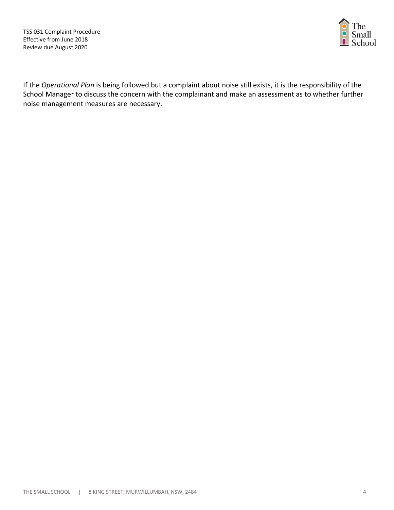TSS 031 Complaint Procedure Effective from June 2018 Review due August 2020



If the *Operational Plan* is being followed but a complaint about noise still exists, it is the responsibility of the School Manager to discuss the concern with the complainant and make an assessment as to whether further noise management measures are necessary.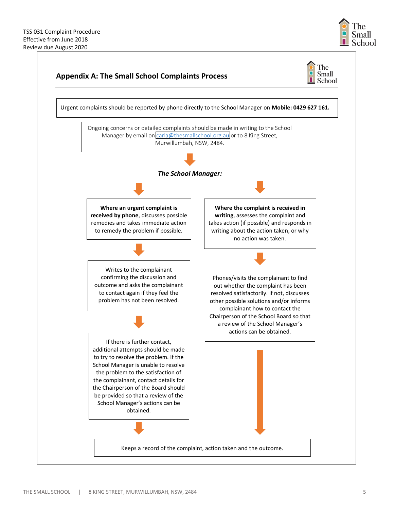